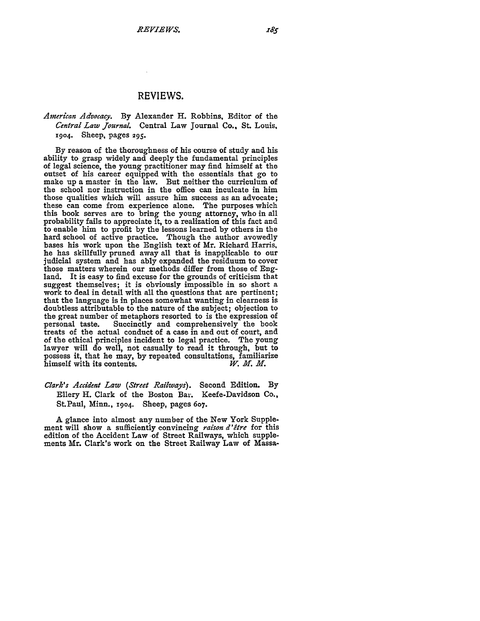# REVIEWS.

## *American Advocacy.* **By** Alexander H. Robbins, Editor of the *Central Law Journal.* Central Law Journal Co., St. Louis. **x904.** Sheep, pages **295.**

By reason of the thoroughness of his course of study and his ability to grasp widely and deeply the fundamental principles of legal science, the young practitioner may find himself at the outset of his career equipped with the essentials that go to make up a master in the law. But neither the curriculum of the school nor instruction in the office can inculcate in him those qualities which will assure him success as an advocate; these can come from experience alone. The purposes which this book serves are to bring the young attorney, who in all probability fails to appreciate it, to a realization of this fact and to enable him to profit by the lessons learned by others in the hard school of active practice. Though the author avowedly bases his work upon the English text of Mr. Richard Harris, he has skillfully pruned away all that is inapplicable to our judicial system and has ably expanded the residuum to cover those matters wherein our methods differ from those of England. It is easy to find excuse for the grounds of criticism that suggest themselves; it is obviously impossible in so short a work to deal in detail with all the questions that are pertinent; that the language is in places somewhat wanting in clearness is doubtless attributable to the nature of the subject; objection to the great number of metaphors resorted to is the expression of personal taste. Succinctly and comprehensively the book treats of the actual conduct of a case in and out of court, and of the ethical principles incident to legal practice. The young lawyer will do well, not casually to read it through, but to possess it, that he may, **by** repeated consultations, familiarize  $h$ *imself with its contents.* 

## *Clark's Accident Law (Street Railways).* Second Edition. **By** Ellery H. Clark of the Boston Bar. Keefe-Davidson Co., St.Paul, Minn., **1904.** Sheep, pages **607.**

A glance into almost any number of the New York Supplement will show a sufficiently convincing *raison d'être* for this edition of the Accident Law of Street Railways, which supplements Mr. Clark's work on the Street Railway Law of Massa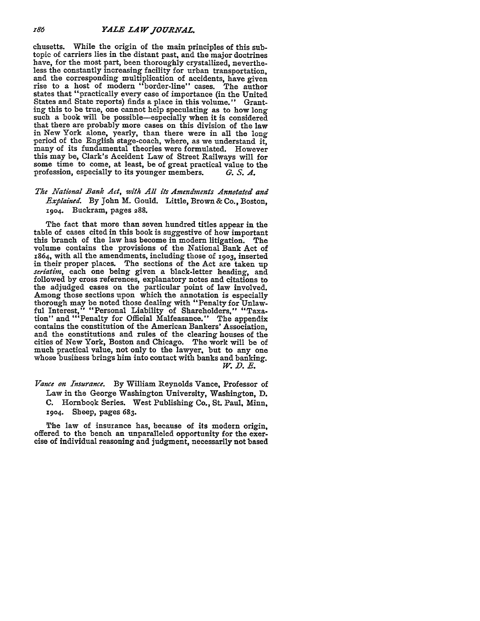chusetts. While the origin of the main principles of this subtopic of carriers lies in the distant past, and the major doctrines have, for the most part, been thoroughly crystallized, nevertheless the constantly increasing facility for urban transportation, and the corresponding multiplication of accidents, have given rise to a host of modern "border-line" cases. The author states that "practically every case of importance (in the United States and State reports) finds a place in this volume." Granting this to be true, one cannot help speculating as to how long such a book will be possible-especially when it is considered that there are probably more cases on this division of the law in New York alone, yearly, than there were in all the long period of the English stage-coach, where, as we understand it, many of its fundamental theories were formulated. However this may be, Clark's Accident Law of Street Railways will for some time to come, at least, be of great practical value to the profession, especially to its younger members.  $G. S. A.$ profession, especially to its younger members.

### *The National Bank Act, with All its Amendments Annotated and Explained.* **By** John M. Gould. Little, Brown **&** Co., Boston, **1904.** Buckram, pages 288.

The fact that more than seven hundred titles appear in the table of cases cited in this book is suggestive of how important this branch of the law has become in modern litigation. The volume contains the provisions of the National Bank Act of 1864, with all the amendments, including those of **19o3,** inserted in their proper places. The sections of the Act are taken up *seriatim,* each one being given a black-letter heading, and followed by cross references, explanatory notes and citations to the adjudged cases on the particular point of law involved. Among those sections upon which the annotation is especially thorough may be noted those dealing with "Penalty for Unlawful Interest," "Personal Liability of Shareholders," "Taxation" and 'Penalty for Official Malfeasance." The appendix contains the constitution of the American Bankers' Association, and the constitutions and rules of the clearing houses of the cities of New York, Boston and Chicago. The work will be of much practical value, not only to the lawyer, but to any one whose business brings him into contact with banks and banking. *W. D. E.*

*vance on Insurance.* By William Reynolds Vance, Professor of Law in the George Washington University, Washington, D. C. Hornbook Series. West Publishing Co., St. Paul, Minn, **1904.** Sheep, pages 683.

The law of insurance has, because of its modern origin, offered to the bench an unparalleled opportunity for the exercise of individual reasoning and judgment, necessarily not based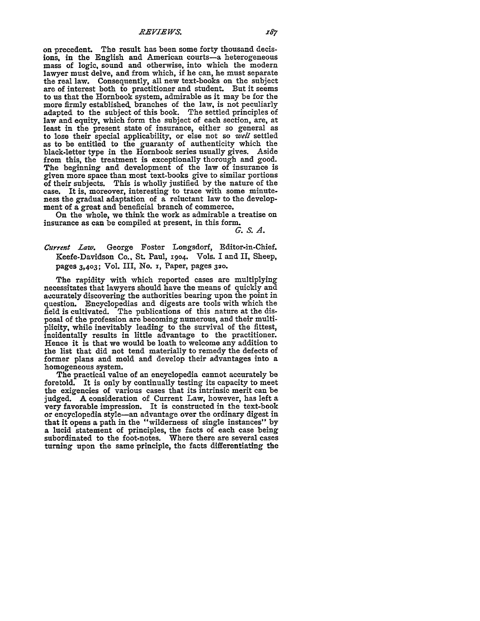on precedent. The result has been some forty thousand decisions, in the English and American courts-a heterogeneous mass of logic, sound and otherwise, into which the modern lawyer must delve, and from which, if he can, he must separate the real law. Consequently, all new text-books on the subject are of interest both to practitioner and student. But it seems to us that the Hornbook system, admirable as it may be for the more firmly established. branches of the law, is not peculiarly adapted to the subject of this book. The settled principles of law and equity, which form the subject of each section, are, at least in the present state of insurance, either so general as to lose their special applicability, or else not so *well* settled as to be entitled to the guaranty of authenticity which the black-letter type in the Hornbook series usually gives. Aside from this, the treatment is exceptionally thorough and good. The beginning and development of the law of insurance is given more space than most text-books give to similar portions of their subjects. This is wholly justified **by** the nature of the case. It is, moreover, interesting to trace with some minuteness the gradual adaptation of a reluctant law to the development of a great and beneficial branch of commerce.

On the whole, we think the work as admirable a treatise on insurance as can be compiled at present, in this form.

*G.S.A.*

*Current Zaw.* George Foster Longsdorf, Editor-in-Chief. Keefe-Davidson Co., St. Paul, **1904.** Vols. I and II, Sheep, pages **3,403;** Vol. III, No. **i,** Paper, pages **320.**

The rapidity with which reported cases are multiplying necessitates that lawyers should have the means of quickly and accurately discovering the authorities bearing upon the point in question. Encyclopedias and digests are tools with which the field is cultivated. The publications of this nature at the disposal of the profession are becoming numerous, and their multiplicity, while inevitably leading to the survival of the fittest, incidentally results in little advantage to the practitioner. Hence it is that we would be loath to welcome any addition to the list that did not tend materially to remedy the defects of former plans and mold and develop their advantages into a homogeneous system.

The practical value of an encyclopedia cannot accurately be foretold. It is only **by** continually testing its capacity to meet the exigencies of various cases that its intrinsic merit can be judged. **A** consideration of Current Law, however, has left a very favorable impression. It is constructed in the text-book or encyclopedia style-an advantage over the ordinary digest in that it opens a path in the "wilderness of single instances" **by** a lucid statement of principles, the facts of each case being subordinated to the foot-notes. Where there are several cases turning upon the same principle, the facts differentiating the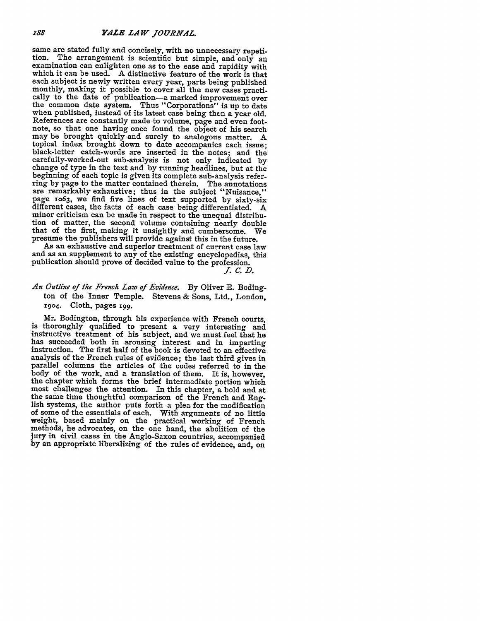same are stated **fully** and concisely, with no unnecessary repeti- tion. The arrangement is scientific but simple, and only an examination can enlighten one as to the ease and rapidity with which it can be used. A distinctive feature of the work is that each subject is newly written every year, parts being published monthly, making it possible to cover all the new cases practically to the date of publication-a marked improvement over the common date system. Thus **"Corporations"** is up to date when published, instead of its latest case being then a year old. References are constantly made to volume, page and even footnote, so that one having once found the object of his search may be brought quickly and surely to analogous matter. A topical index brought down to date accompanies each issue; black-letter catch-words are inserted in the notes; and the carefully-worked-out sub-analysis is not only indicated **by** change of type in the text and **by** running headlines, but at the beginning of each topic is given its complete sub-analysis referring **by** page to the matter contained therein. The annotations are remarkably exhaustive; thus in the subject "Nuisance," page **1o63,** we find five lines of text supported **by** sixty-six different cases, the facts of each case being differentiated. A minor criticism can be made in respect to the unequal distribution of matter, the second volume containing nearly double that of the first, making it unsightly and cumbersome. We presume the publishers will provide against this in the future.

As an exhaustive and superior treatment of current case law and as an supplement to any of the existing encyclopedias, this publication should prove of decided value to the profession.

*J.* **C.** *D.*

### *An Outline of the French Law of Evidence.* **By** Oliver **E.** Bodington of the Inner Temple. Stevens **&** Sons, Ltd., London, *1904.* Cloth, pages **x99.**

Mr. Bodington, through his experience with French courts, is thoroughly qualified to present a very interesting and instructive treatment of his subject, and we must feel that he has succeeded both in arousing interest and in imparting instruction. The first half of the book is devoted to an effective analysis of the French rules of evidence; the last third gives in parallel columns the articles of the codes referred to in the body of the work, and a translation of them. It is, however, the chapter which forms the brief intermediate portion which most challenges the attention. In this chapter, a bold and at the same time thoughtful comparison of the French and Eng- lish systems, the author puts forth a plea for the modification of some of the essentials of each. With arguments of no little weight, based mainly on the practical working of French methods, he advocates, on the one hand, the abolition of the jury in civil cases in the Anglo-Saxon countries, accompanied **by** an appropriate liberalizing of the rules of evidence, and, on